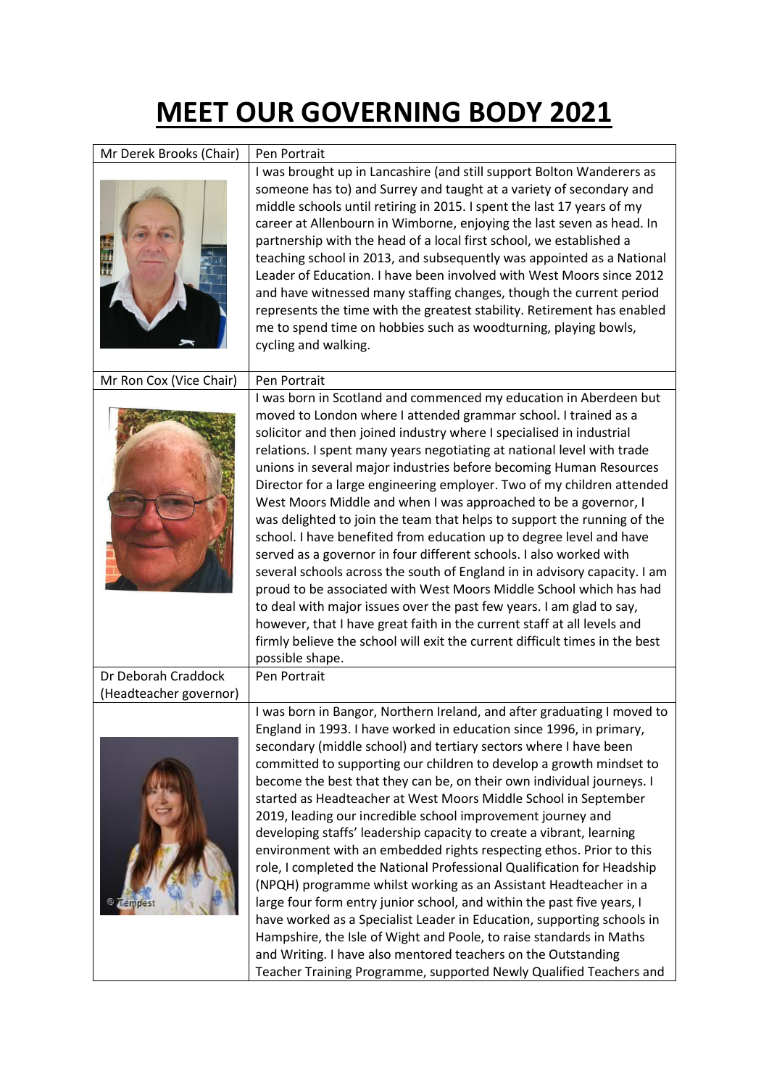## **MEET OUR GOVERNING BODY 2021**

| Mr Derek Brooks (Chair) | Pen Portrait                                                                                                                                                                                                                                                                                                                                                                                                                                                                                                                                                                                                                                                                                                                                                                                                                                                                                                                                                                                                                                                                                                                                                        |
|-------------------------|---------------------------------------------------------------------------------------------------------------------------------------------------------------------------------------------------------------------------------------------------------------------------------------------------------------------------------------------------------------------------------------------------------------------------------------------------------------------------------------------------------------------------------------------------------------------------------------------------------------------------------------------------------------------------------------------------------------------------------------------------------------------------------------------------------------------------------------------------------------------------------------------------------------------------------------------------------------------------------------------------------------------------------------------------------------------------------------------------------------------------------------------------------------------|
|                         | I was brought up in Lancashire (and still support Bolton Wanderers as<br>someone has to) and Surrey and taught at a variety of secondary and<br>middle schools until retiring in 2015. I spent the last 17 years of my<br>career at Allenbourn in Wimborne, enjoying the last seven as head. In<br>partnership with the head of a local first school, we established a<br>teaching school in 2013, and subsequently was appointed as a National<br>Leader of Education. I have been involved with West Moors since 2012<br>and have witnessed many staffing changes, though the current period<br>represents the time with the greatest stability. Retirement has enabled<br>me to spend time on hobbies such as woodturning, playing bowls,<br>cycling and walking.                                                                                                                                                                                                                                                                                                                                                                                                |
| Mr Ron Cox (Vice Chair) | Pen Portrait                                                                                                                                                                                                                                                                                                                                                                                                                                                                                                                                                                                                                                                                                                                                                                                                                                                                                                                                                                                                                                                                                                                                                        |
|                         | I was born in Scotland and commenced my education in Aberdeen but<br>moved to London where I attended grammar school. I trained as a<br>solicitor and then joined industry where I specialised in industrial<br>relations. I spent many years negotiating at national level with trade<br>unions in several major industries before becoming Human Resources<br>Director for a large engineering employer. Two of my children attended<br>West Moors Middle and when I was approached to be a governor, I<br>was delighted to join the team that helps to support the running of the<br>school. I have benefited from education up to degree level and have<br>served as a governor in four different schools. I also worked with<br>several schools across the south of England in in advisory capacity. I am<br>proud to be associated with West Moors Middle School which has had<br>to deal with major issues over the past few years. I am glad to say,<br>however, that I have great faith in the current staff at all levels and<br>firmly believe the school will exit the current difficult times in the best<br>possible shape.                           |
| Dr Deborah Craddock     | Pen Portrait                                                                                                                                                                                                                                                                                                                                                                                                                                                                                                                                                                                                                                                                                                                                                                                                                                                                                                                                                                                                                                                                                                                                                        |
| (Headteacher governor)  |                                                                                                                                                                                                                                                                                                                                                                                                                                                                                                                                                                                                                                                                                                                                                                                                                                                                                                                                                                                                                                                                                                                                                                     |
| Lempes                  | I was born in Bangor, Northern Ireland, and after graduating I moved to<br>England in 1993. I have worked in education since 1996, in primary,<br>secondary (middle school) and tertiary sectors where I have been<br>committed to supporting our children to develop a growth mindset to<br>become the best that they can be, on their own individual journeys. I<br>started as Headteacher at West Moors Middle School in September<br>2019, leading our incredible school improvement journey and<br>developing staffs' leadership capacity to create a vibrant, learning<br>environment with an embedded rights respecting ethos. Prior to this<br>role, I completed the National Professional Qualification for Headship<br>(NPQH) programme whilst working as an Assistant Headteacher in a<br>large four form entry junior school, and within the past five years, I<br>have worked as a Specialist Leader in Education, supporting schools in<br>Hampshire, the Isle of Wight and Poole, to raise standards in Maths<br>and Writing. I have also mentored teachers on the Outstanding<br>Teacher Training Programme, supported Newly Qualified Teachers and |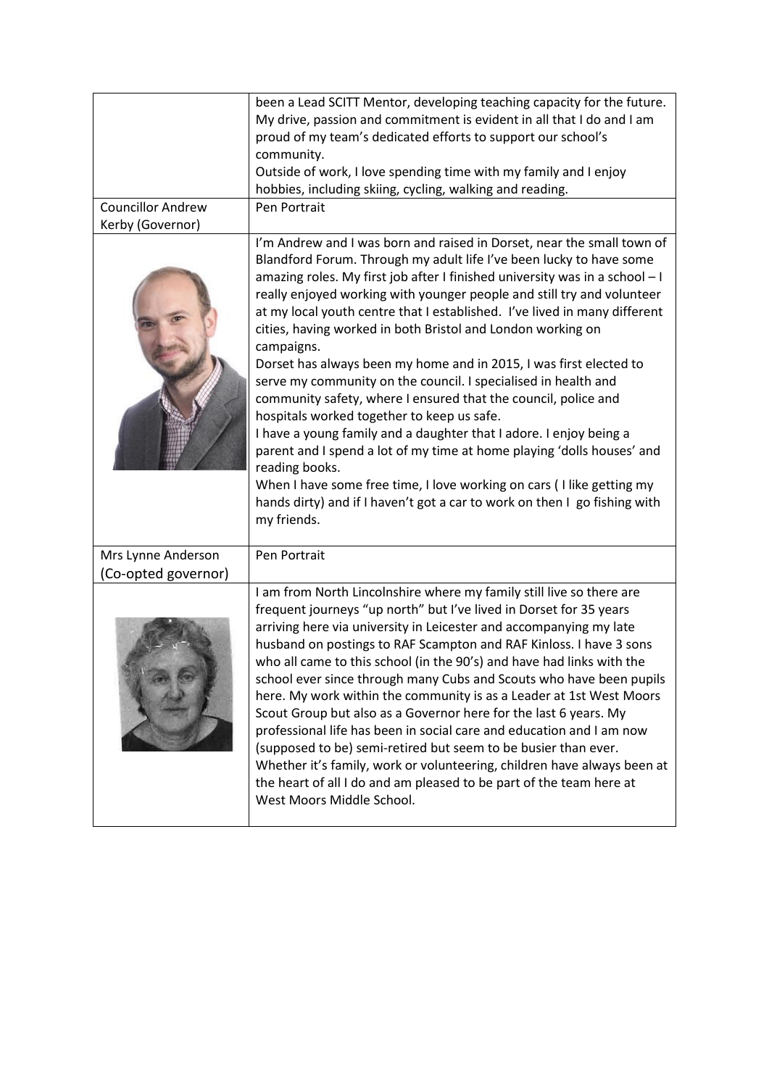|                                           | been a Lead SCITT Mentor, developing teaching capacity for the future.                                                                                                                                                                                                                                                                                                                                                                                                                                                                                                                                                                                                                                                                                                                                                                                                                                                                                                                                                                                          |
|-------------------------------------------|-----------------------------------------------------------------------------------------------------------------------------------------------------------------------------------------------------------------------------------------------------------------------------------------------------------------------------------------------------------------------------------------------------------------------------------------------------------------------------------------------------------------------------------------------------------------------------------------------------------------------------------------------------------------------------------------------------------------------------------------------------------------------------------------------------------------------------------------------------------------------------------------------------------------------------------------------------------------------------------------------------------------------------------------------------------------|
|                                           | My drive, passion and commitment is evident in all that I do and I am                                                                                                                                                                                                                                                                                                                                                                                                                                                                                                                                                                                                                                                                                                                                                                                                                                                                                                                                                                                           |
|                                           | proud of my team's dedicated efforts to support our school's                                                                                                                                                                                                                                                                                                                                                                                                                                                                                                                                                                                                                                                                                                                                                                                                                                                                                                                                                                                                    |
|                                           | community.                                                                                                                                                                                                                                                                                                                                                                                                                                                                                                                                                                                                                                                                                                                                                                                                                                                                                                                                                                                                                                                      |
|                                           | Outside of work, I love spending time with my family and I enjoy                                                                                                                                                                                                                                                                                                                                                                                                                                                                                                                                                                                                                                                                                                                                                                                                                                                                                                                                                                                                |
|                                           | hobbies, including skiing, cycling, walking and reading.                                                                                                                                                                                                                                                                                                                                                                                                                                                                                                                                                                                                                                                                                                                                                                                                                                                                                                                                                                                                        |
| <b>Councillor Andrew</b>                  | Pen Portrait                                                                                                                                                                                                                                                                                                                                                                                                                                                                                                                                                                                                                                                                                                                                                                                                                                                                                                                                                                                                                                                    |
| Kerby (Governor)                          |                                                                                                                                                                                                                                                                                                                                                                                                                                                                                                                                                                                                                                                                                                                                                                                                                                                                                                                                                                                                                                                                 |
|                                           | I'm Andrew and I was born and raised in Dorset, near the small town of<br>Blandford Forum. Through my adult life I've been lucky to have some<br>amazing roles. My first job after I finished university was in a school - I<br>really enjoyed working with younger people and still try and volunteer<br>at my local youth centre that I established. I've lived in many different<br>cities, having worked in both Bristol and London working on<br>campaigns.<br>Dorset has always been my home and in 2015, I was first elected to<br>serve my community on the council. I specialised in health and<br>community safety, where I ensured that the council, police and<br>hospitals worked together to keep us safe.<br>I have a young family and a daughter that I adore. I enjoy being a<br>parent and I spend a lot of my time at home playing 'dolls houses' and<br>reading books.<br>When I have some free time, I love working on cars (I like getting my<br>hands dirty) and if I haven't got a car to work on then I go fishing with<br>my friends. |
| Mrs Lynne Anderson<br>(Co-opted governor) | Pen Portrait                                                                                                                                                                                                                                                                                                                                                                                                                                                                                                                                                                                                                                                                                                                                                                                                                                                                                                                                                                                                                                                    |
|                                           | I am from North Lincolnshire where my family still live so there are<br>frequent journeys "up north" but I've lived in Dorset for 35 years<br>arriving here via university in Leicester and accompanying my late<br>husband on postings to RAF Scampton and RAF Kinloss. I have 3 sons<br>who all came to this school (in the 90's) and have had links with the<br>school ever since through many Cubs and Scouts who have been pupils<br>here. My work within the community is as a Leader at 1st West Moors<br>Scout Group but also as a Governor here for the last 6 years. My<br>professional life has been in social care and education and I am now<br>(supposed to be) semi-retired but seem to be busier than ever.<br>Whether it's family, work or volunteering, children have always been at<br>the heart of all I do and am pleased to be part of the team here at<br>West Moors Middle School.                                                                                                                                                      |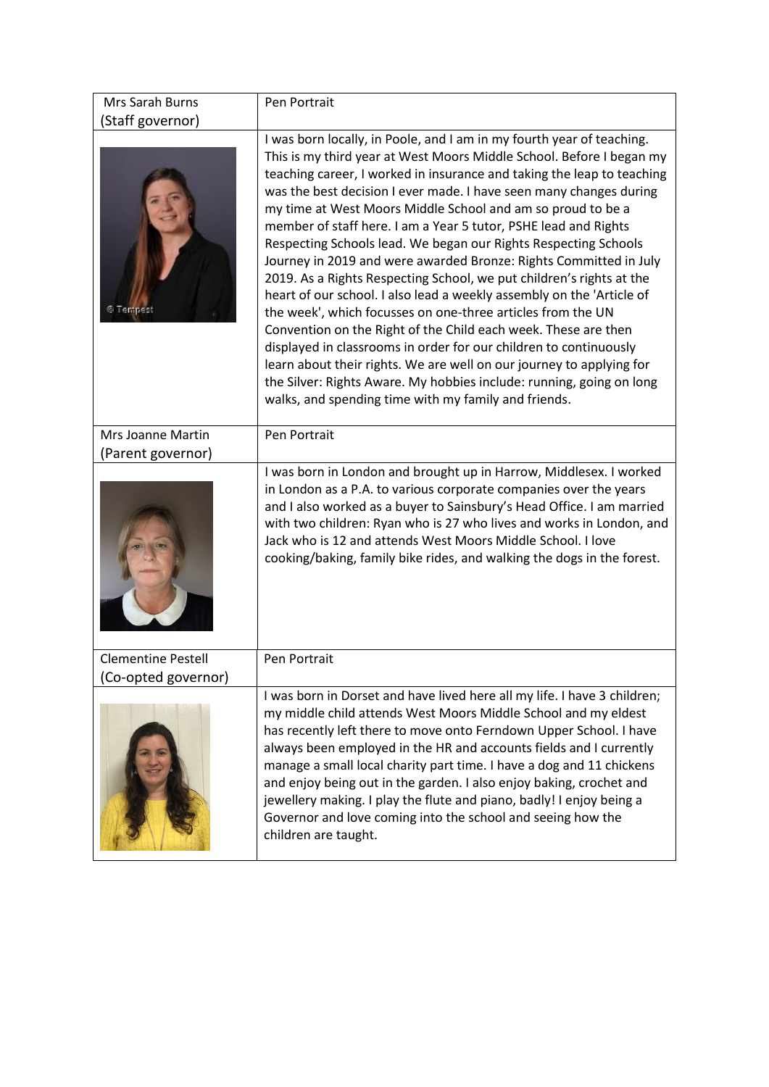| Mrs Sarah Burns                                  | Pen Portrait                                                                                                                                                                                                                                                                                                                                                                                                                                                                                                                                                                                                                                                                                                                                                                                                                                                                                                                                                                                                                                                                                                                           |
|--------------------------------------------------|----------------------------------------------------------------------------------------------------------------------------------------------------------------------------------------------------------------------------------------------------------------------------------------------------------------------------------------------------------------------------------------------------------------------------------------------------------------------------------------------------------------------------------------------------------------------------------------------------------------------------------------------------------------------------------------------------------------------------------------------------------------------------------------------------------------------------------------------------------------------------------------------------------------------------------------------------------------------------------------------------------------------------------------------------------------------------------------------------------------------------------------|
| (Staff governor)                                 |                                                                                                                                                                                                                                                                                                                                                                                                                                                                                                                                                                                                                                                                                                                                                                                                                                                                                                                                                                                                                                                                                                                                        |
| <b>@Tempest</b>                                  | I was born locally, in Poole, and I am in my fourth year of teaching.<br>This is my third year at West Moors Middle School. Before I began my<br>teaching career, I worked in insurance and taking the leap to teaching<br>was the best decision I ever made. I have seen many changes during<br>my time at West Moors Middle School and am so proud to be a<br>member of staff here. I am a Year 5 tutor, PSHE lead and Rights<br>Respecting Schools lead. We began our Rights Respecting Schools<br>Journey in 2019 and were awarded Bronze: Rights Committed in July<br>2019. As a Rights Respecting School, we put children's rights at the<br>heart of our school. I also lead a weekly assembly on the 'Article of<br>the week', which focusses on one-three articles from the UN<br>Convention on the Right of the Child each week. These are then<br>displayed in classrooms in order for our children to continuously<br>learn about their rights. We are well on our journey to applying for<br>the Silver: Rights Aware. My hobbies include: running, going on long<br>walks, and spending time with my family and friends. |
| Mrs Joanne Martin<br>(Parent governor)           | Pen Portrait                                                                                                                                                                                                                                                                                                                                                                                                                                                                                                                                                                                                                                                                                                                                                                                                                                                                                                                                                                                                                                                                                                                           |
|                                                  | I was born in London and brought up in Harrow, Middlesex. I worked<br>in London as a P.A. to various corporate companies over the years<br>and I also worked as a buyer to Sainsbury's Head Office. I am married<br>with two children: Ryan who is 27 who lives and works in London, and<br>Jack who is 12 and attends West Moors Middle School. I love<br>cooking/baking, family bike rides, and walking the dogs in the forest.                                                                                                                                                                                                                                                                                                                                                                                                                                                                                                                                                                                                                                                                                                      |
| <b>Clementine Pestell</b><br>(Co-opted governor) | Pen Portrait                                                                                                                                                                                                                                                                                                                                                                                                                                                                                                                                                                                                                                                                                                                                                                                                                                                                                                                                                                                                                                                                                                                           |
|                                                  | I was born in Dorset and have lived here all my life. I have 3 children;<br>my middle child attends West Moors Middle School and my eldest<br>has recently left there to move onto Ferndown Upper School. I have<br>always been employed in the HR and accounts fields and I currently<br>manage a small local charity part time. I have a dog and 11 chickens<br>and enjoy being out in the garden. I also enjoy baking, crochet and<br>jewellery making. I play the flute and piano, badly! I enjoy being a<br>Governor and love coming into the school and seeing how the<br>children are taught.                                                                                                                                                                                                                                                                                                                                                                                                                                                                                                                                   |